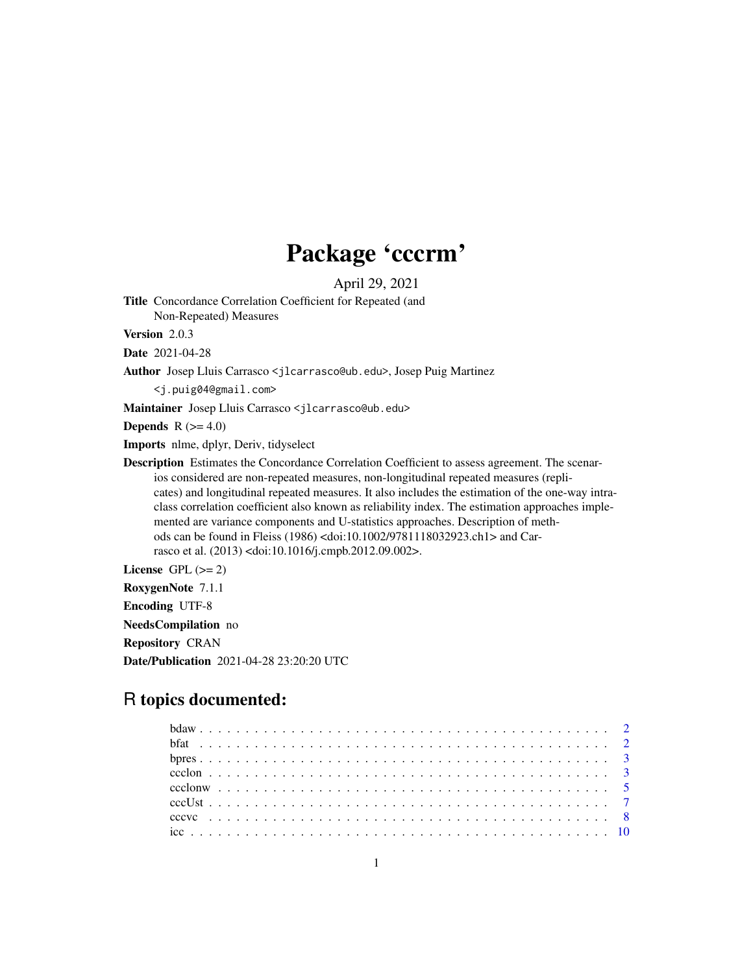## Package 'cccrm'

April 29, 2021

Title Concordance Correlation Coefficient for Repeated (and Non-Repeated) Measures

Version 2.0.3

Date 2021-04-28

Author Josep Lluis Carrasco <jlcarrasco@ub.edu>, Josep Puig Martinez

<j.puig04@gmail.com>

Maintainer Josep Lluis Carrasco <jlcarrasco@ub.edu>

Depends  $R$  ( $>= 4.0$ )

Imports nlme, dplyr, Deriv, tidyselect

Description Estimates the Concordance Correlation Coefficient to assess agreement. The scenarios considered are non-repeated measures, non-longitudinal repeated measures (replicates) and longitudinal repeated measures. It also includes the estimation of the one-way intraclass correlation coefficient also known as reliability index. The estimation approaches implemented are variance components and U-statistics approaches. Description of methods can be found in Fleiss (1986) <doi:10.1002/9781118032923.ch1> and Carrasco et al. (2013) <doi:10.1016/j.cmpb.2012.09.002>.

License GPL  $(>= 2)$ 

RoxygenNote 7.1.1

Encoding UTF-8

NeedsCompilation no

Repository CRAN

Date/Publication 2021-04-28 23:20:20 UTC

### R topics documented: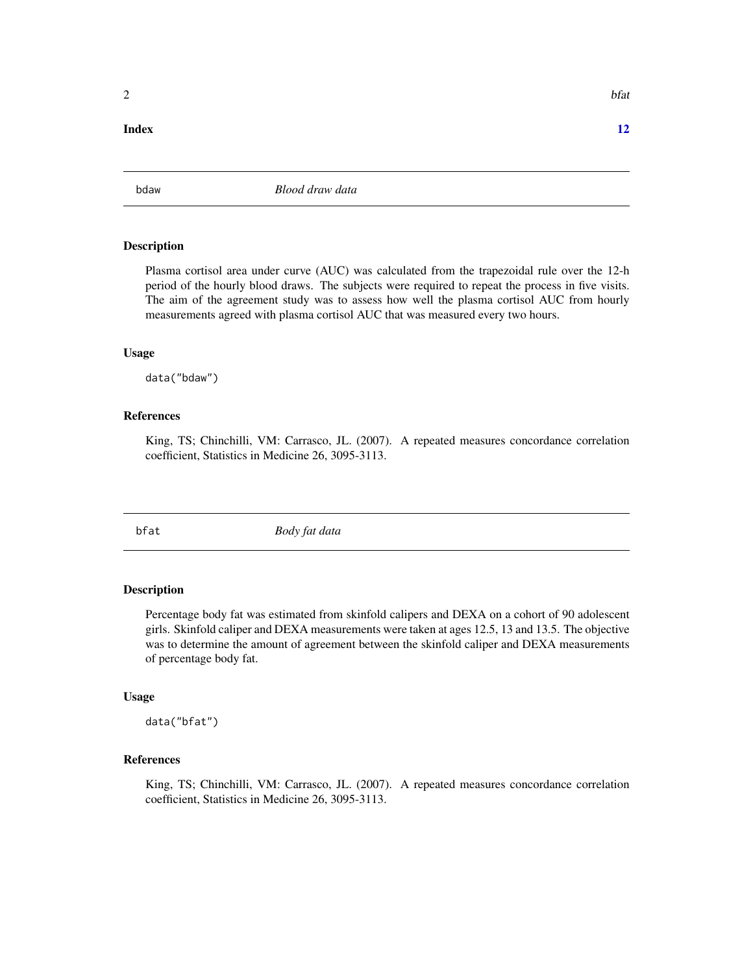#### <span id="page-1-0"></span>**Index** [12](#page-11-0)

bdaw *Blood draw data*

#### Description

Plasma cortisol area under curve (AUC) was calculated from the trapezoidal rule over the 12-h period of the hourly blood draws. The subjects were required to repeat the process in five visits. The aim of the agreement study was to assess how well the plasma cortisol AUC from hourly measurements agreed with plasma cortisol AUC that was measured every two hours.

#### Usage

data("bdaw")

#### References

King, TS; Chinchilli, VM: Carrasco, JL. (2007). A repeated measures concordance correlation coefficient, Statistics in Medicine 26, 3095-3113.

bfat *Body fat data*

#### Description

Percentage body fat was estimated from skinfold calipers and DEXA on a cohort of 90 adolescent girls. Skinfold caliper and DEXA measurements were taken at ages 12.5, 13 and 13.5. The objective was to determine the amount of agreement between the skinfold caliper and DEXA measurements of percentage body fat.

#### Usage

data("bfat")

#### References

King, TS; Chinchilli, VM: Carrasco, JL. (2007). A repeated measures concordance correlation coefficient, Statistics in Medicine 26, 3095-3113.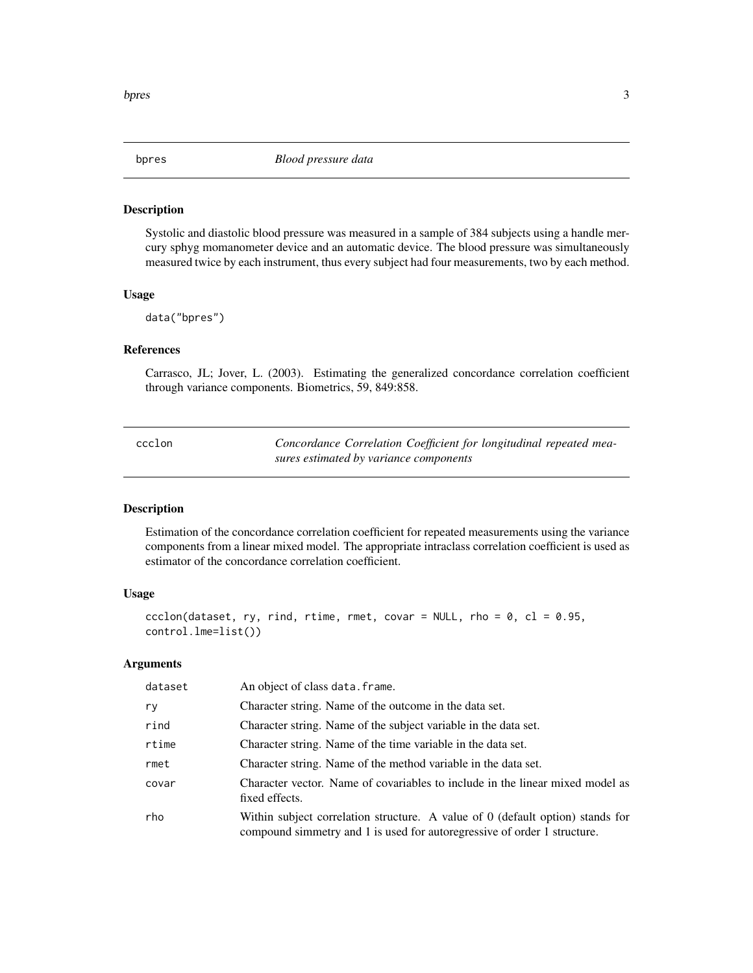<span id="page-2-0"></span>

#### Description

Systolic and diastolic blood pressure was measured in a sample of 384 subjects using a handle mercury sphyg momanometer device and an automatic device. The blood pressure was simultaneously measured twice by each instrument, thus every subject had four measurements, two by each method.

#### Usage

data("bpres")

#### References

Carrasco, JL; Jover, L. (2003). Estimating the generalized concordance correlation coefficient through variance components. Biometrics, 59, 849:858.

<span id="page-2-1"></span>

| ccclon | Concordance Correlation Coefficient for longitudinal repeated mea- |
|--------|--------------------------------------------------------------------|
|        | sures estimated by variance components                             |

#### Description

Estimation of the concordance correlation coefficient for repeated measurements using the variance components from a linear mixed model. The appropriate intraclass correlation coefficient is used as estimator of the concordance correlation coefficient.

#### Usage

```
ccclon(dataset, ry, rind, rtime, rmet, covar = NULL, rho = 0, cl = 0.95,
control.lme=list())
```
#### Arguments

| dataset | An object of class data. frame.                                                                                                                                   |
|---------|-------------------------------------------------------------------------------------------------------------------------------------------------------------------|
| ry      | Character string. Name of the outcome in the data set.                                                                                                            |
| rind    | Character string. Name of the subject variable in the data set.                                                                                                   |
| rtime   | Character string. Name of the time variable in the data set.                                                                                                      |
| rmet    | Character string. Name of the method variable in the data set.                                                                                                    |
| covar   | Character vector. Name of covariables to include in the linear mixed model as<br>fixed effects.                                                                   |
| rho     | Within subject correlation structure. A value of $\theta$ (default option) stands for<br>compound simmetry and 1 is used for autoregressive of order 1 structure. |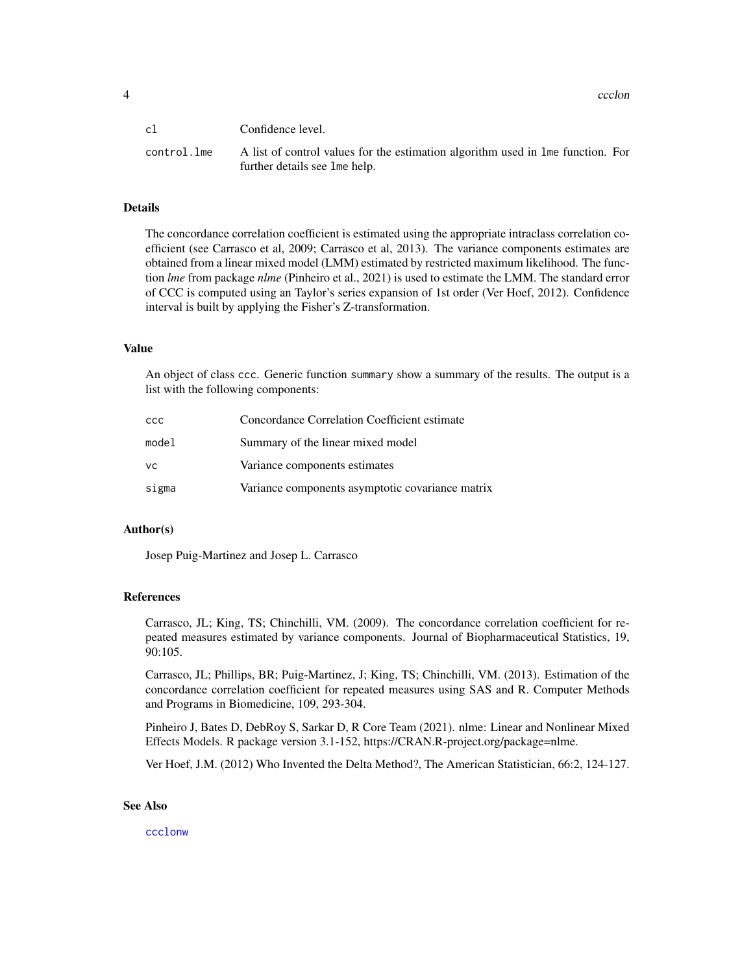<span id="page-3-0"></span>4 ccclon and the contract of the contract of the contract of the contract of the contract of the contract of the contract of the contract of the contract of the contract of the contract of the contract of the contract of t

| cl          | Confidence level.                                                                                                |
|-------------|------------------------------------------------------------------------------------------------------------------|
| control.lme | A list of control values for the estimation algorithm used in lme function. For<br>further details see 1me help. |

#### Details

The concordance correlation coefficient is estimated using the appropriate intraclass correlation coefficient (see Carrasco et al, 2009; Carrasco et al, 2013). The variance components estimates are obtained from a linear mixed model (LMM) estimated by restricted maximum likelihood. The function *lme* from package *nlme* (Pinheiro et al., 2021) is used to estimate the LMM. The standard error of CCC is computed using an Taylor's series expansion of 1st order (Ver Hoef, 2012). Confidence interval is built by applying the Fisher's Z-transformation.

#### Value

An object of class ccc. Generic function summary show a summary of the results. The output is a list with the following components:

| ссс   | Concordance Correlation Coefficient estimate     |
|-------|--------------------------------------------------|
| model | Summary of the linear mixed model                |
| vс    | Variance components estimates                    |
| sigma | Variance components asymptotic covariance matrix |

#### Author(s)

Josep Puig-Martinez and Josep L. Carrasco

#### References

Carrasco, JL; King, TS; Chinchilli, VM. (2009). The concordance correlation coefficient for repeated measures estimated by variance components. Journal of Biopharmaceutical Statistics, 19, 90:105.

Carrasco, JL; Phillips, BR; Puig-Martinez, J; King, TS; Chinchilli, VM. (2013). Estimation of the concordance correlation coefficient for repeated measures using SAS and R. Computer Methods and Programs in Biomedicine, 109, 293-304.

Pinheiro J, Bates D, DebRoy S, Sarkar D, R Core Team (2021). nlme: Linear and Nonlinear Mixed Effects Models. R package version 3.1-152, https://CRAN.R-project.org/package=nlme.

Ver Hoef, J.M. (2012) Who Invented the Delta Method?, The American Statistician, 66:2, 124-127.

#### See Also

[ccclonw](#page-4-1)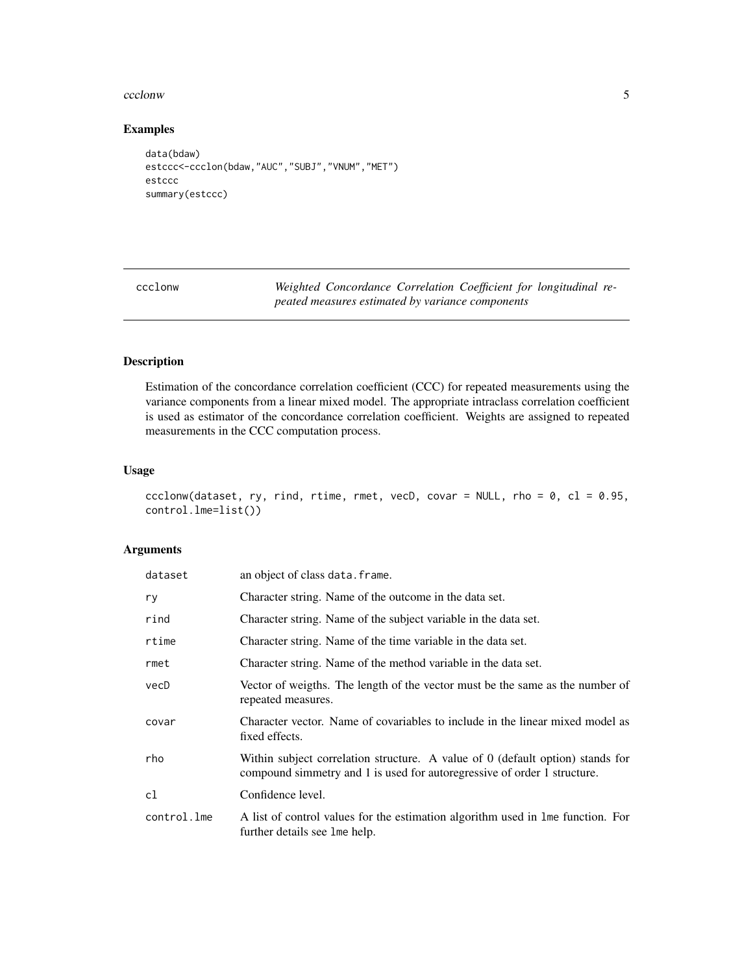#### <span id="page-4-0"></span>ccclonw 5

#### Examples

```
data(bdaw)
estccc<-ccclon(bdaw,"AUC","SUBJ","VNUM","MET")
estccc
summary(estccc)
```
<span id="page-4-1"></span>ccclonw *Weighted Concordance Correlation Coefficient for longitudinal repeated measures estimated by variance components*

#### Description

Estimation of the concordance correlation coefficient (CCC) for repeated measurements using the variance components from a linear mixed model. The appropriate intraclass correlation coefficient is used as estimator of the concordance correlation coefficient. Weights are assigned to repeated measurements in the CCC computation process.

#### Usage

```
ccclonw(dataset, ry, rind, rtime, rmet, vecD, covar = NULL, rho = 0, cl = 0.95,
control.lme=list())
```
#### Arguments

| dataset     | an object of class data. frame.                                                                                                                              |
|-------------|--------------------------------------------------------------------------------------------------------------------------------------------------------------|
| ry          | Character string. Name of the outcome in the data set.                                                                                                       |
| rind        | Character string. Name of the subject variable in the data set.                                                                                              |
| rtime       | Character string. Name of the time variable in the data set.                                                                                                 |
| rmet        | Character string. Name of the method variable in the data set.                                                                                               |
| vecD        | Vector of weigths. The length of the vector must be the same as the number of<br>repeated measures.                                                          |
| covar       | Character vector. Name of covariables to include in the linear mixed model as<br>fixed effects.                                                              |
| rho         | Within subject correlation structure. A value of $0$ (default option) stands for<br>compound simmetry and 1 is used for autoregressive of order 1 structure. |
| cl          | Confidence level.                                                                                                                                            |
| control.lme | A list of control values for the estimation algorithm used in lme function. For<br>further details see lme help.                                             |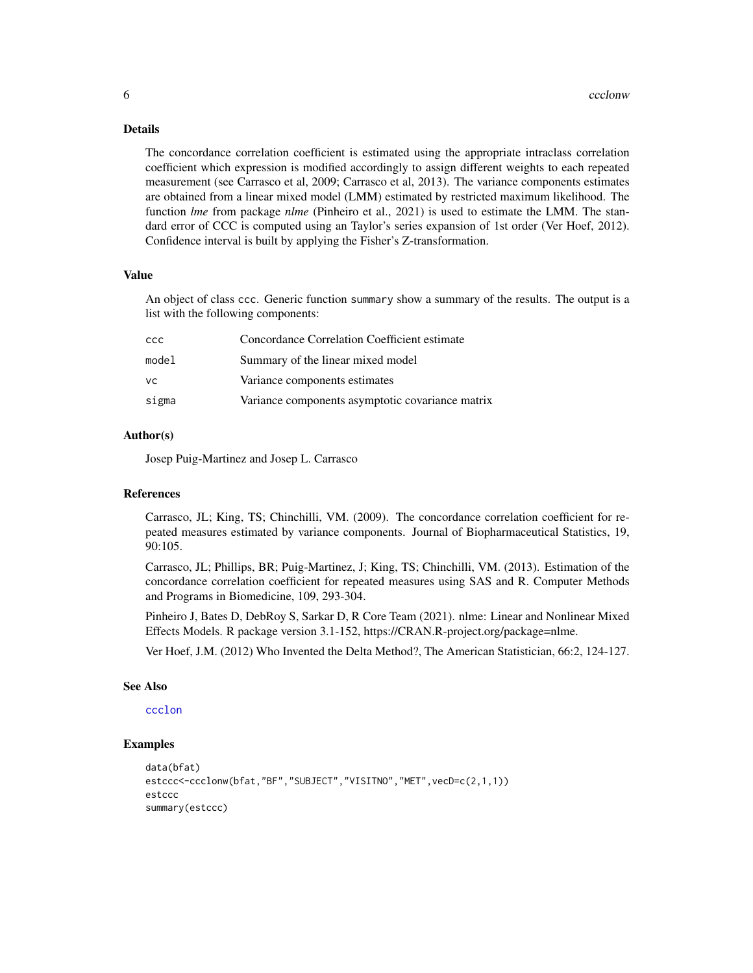#### Details

The concordance correlation coefficient is estimated using the appropriate intraclass correlation coefficient which expression is modified accordingly to assign different weights to each repeated measurement (see Carrasco et al, 2009; Carrasco et al, 2013). The variance components estimates are obtained from a linear mixed model (LMM) estimated by restricted maximum likelihood. The function *lme* from package *nlme* (Pinheiro et al., 2021) is used to estimate the LMM. The standard error of CCC is computed using an Taylor's series expansion of 1st order (Ver Hoef, 2012). Confidence interval is built by applying the Fisher's Z-transformation.

#### Value

An object of class ccc. Generic function summary show a summary of the results. The output is a list with the following components:

| ccc   | Concordance Correlation Coefficient estimate     |
|-------|--------------------------------------------------|
| model | Summary of the linear mixed model                |
| VC.   | Variance components estimates                    |
| sigma | Variance components asymptotic covariance matrix |

#### Author(s)

Josep Puig-Martinez and Josep L. Carrasco

#### References

Carrasco, JL; King, TS; Chinchilli, VM. (2009). The concordance correlation coefficient for repeated measures estimated by variance components. Journal of Biopharmaceutical Statistics, 19, 90:105.

Carrasco, JL; Phillips, BR; Puig-Martinez, J; King, TS; Chinchilli, VM. (2013). Estimation of the concordance correlation coefficient for repeated measures using SAS and R. Computer Methods and Programs in Biomedicine, 109, 293-304.

Pinheiro J, Bates D, DebRoy S, Sarkar D, R Core Team (2021). nlme: Linear and Nonlinear Mixed Effects Models. R package version 3.1-152, https://CRAN.R-project.org/package=nlme.

Ver Hoef, J.M. (2012) Who Invented the Delta Method?, The American Statistician, 66:2, 124-127.

#### See Also

[ccclon](#page-2-1)

#### Examples

```
data(bfat)
estccc<-ccclonw(bfat,"BF","SUBJECT","VISITNO","MET",vecD=c(2,1,1))
estccc
summary(estccc)
```
<span id="page-5-0"></span>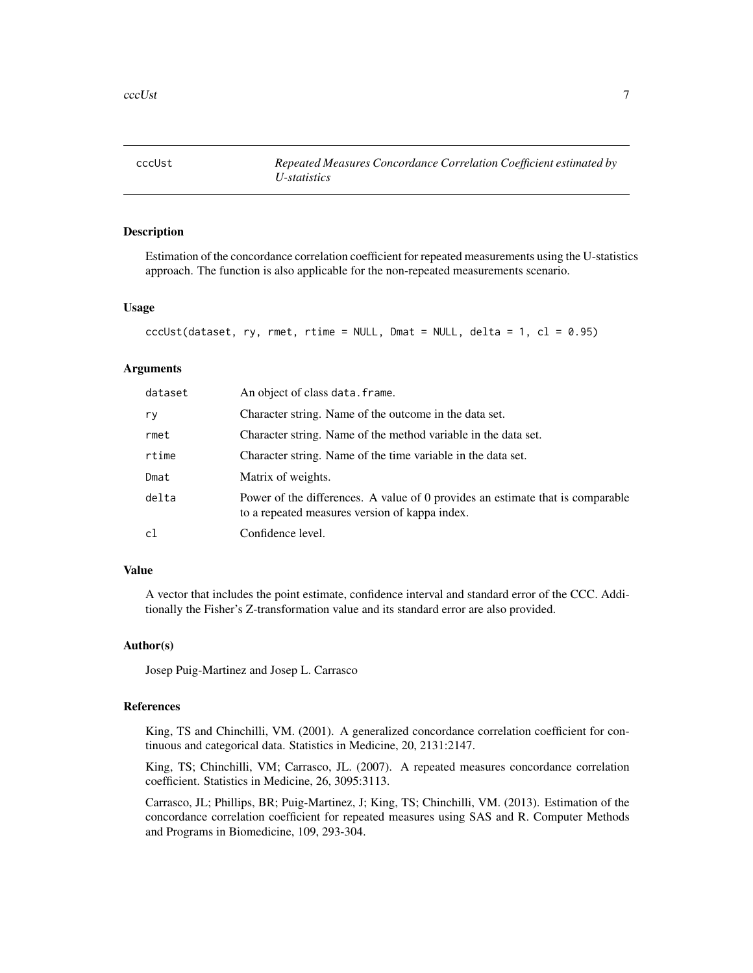<span id="page-6-0"></span>

#### Description

Estimation of the concordance correlation coefficient for repeated measurements using the U-statistics approach. The function is also applicable for the non-repeated measurements scenario.

#### Usage

```
ccClst(dataset, ry, rmet, ritime = NULL, Dmat = NULL, delta = 1, cl = 0.95)
```
#### Arguments

| dataset | An object of class data. frame.                                                                                                  |
|---------|----------------------------------------------------------------------------------------------------------------------------------|
| ry      | Character string. Name of the outcome in the data set.                                                                           |
| rmet    | Character string. Name of the method variable in the data set.                                                                   |
| rtime   | Character string. Name of the time variable in the data set.                                                                     |
| Dmat    | Matrix of weights.                                                                                                               |
| delta   | Power of the differences. A value of 0 provides an estimate that is comparable<br>to a repeated measures version of kappa index. |
| cl      | Confidence level.                                                                                                                |

#### Value

A vector that includes the point estimate, confidence interval and standard error of the CCC. Additionally the Fisher's Z-transformation value and its standard error are also provided.

#### Author(s)

Josep Puig-Martinez and Josep L. Carrasco

#### References

King, TS and Chinchilli, VM. (2001). A generalized concordance correlation coefficient for continuous and categorical data. Statistics in Medicine, 20, 2131:2147.

King, TS; Chinchilli, VM; Carrasco, JL. (2007). A repeated measures concordance correlation coefficient. Statistics in Medicine, 26, 3095:3113.

Carrasco, JL; Phillips, BR; Puig-Martinez, J; King, TS; Chinchilli, VM. (2013). Estimation of the concordance correlation coefficient for repeated measures using SAS and R. Computer Methods and Programs in Biomedicine, 109, 293-304.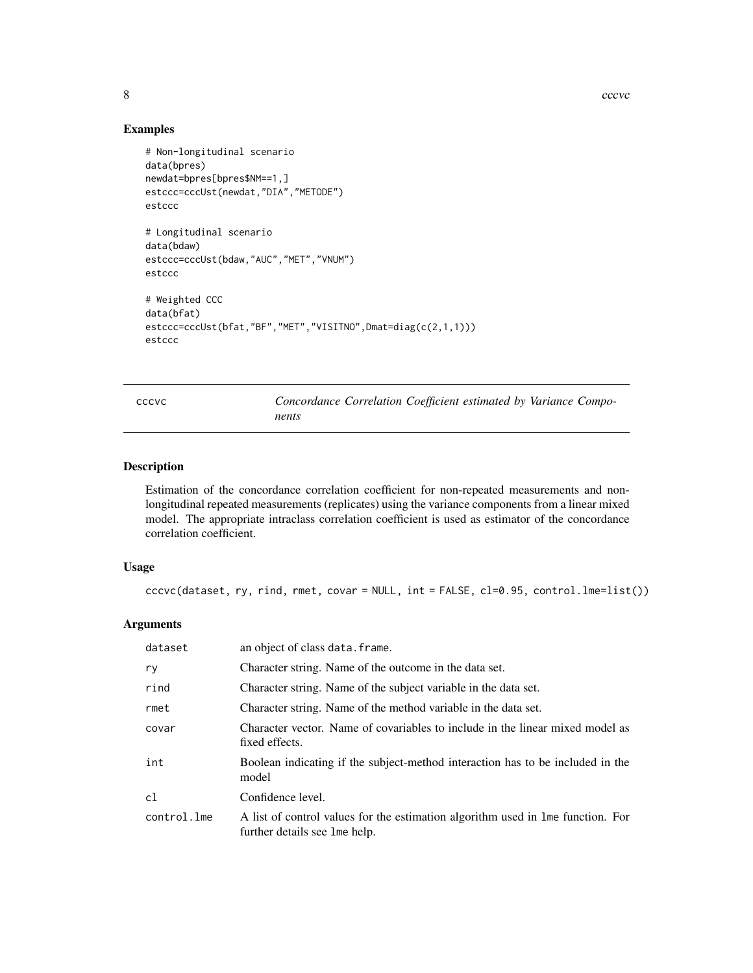#### Examples

```
# Non-longitudinal scenario
data(bpres)
newdat=bpres[bpres$NM==1,]
estccc=cccUst(newdat,"DIA","METODE")
estccc
# Longitudinal scenario
data(bdaw)
estccc=cccUst(bdaw,"AUC","MET","VNUM")
estccc
# Weighted CCC
data(bfat)
estccc=cccUst(bfat,"BF","MET","VISITNO",Dmat=diag(c(2,1,1)))
estccc
```

| M.<br>۰.<br>۰.<br>۰.<br>×<br>٧<br>٠<br>٠ |
|------------------------------------------|
|------------------------------------------|

Concordance Correlation Coefficient estimated by Variance Compo*nents*

#### Description

Estimation of the concordance correlation coefficient for non-repeated measurements and nonlongitudinal repeated measurements (replicates) using the variance components from a linear mixed model. The appropriate intraclass correlation coefficient is used as estimator of the concordance correlation coefficient.

#### Usage

```
cccvc(dataset, ry, rind, rmet, covar = NULL, int = FALSE, cl=0.95, control.lme=list())
```
#### Arguments

| dataset     | an object of class data. frame.                                                                                  |
|-------------|------------------------------------------------------------------------------------------------------------------|
| ry          | Character string. Name of the outcome in the data set.                                                           |
| rind        | Character string. Name of the subject variable in the data set.                                                  |
| rmet        | Character string. Name of the method variable in the data set.                                                   |
| covar       | Character vector. Name of covariables to include in the linear mixed model as<br>fixed effects.                  |
| int         | Boolean indicating if the subject-method interaction has to be included in the<br>model                          |
| c1          | Confidence level.                                                                                                |
| control.lme | A list of control values for the estimation algorithm used in lme function. For<br>further details see lme help. |

<span id="page-7-0"></span>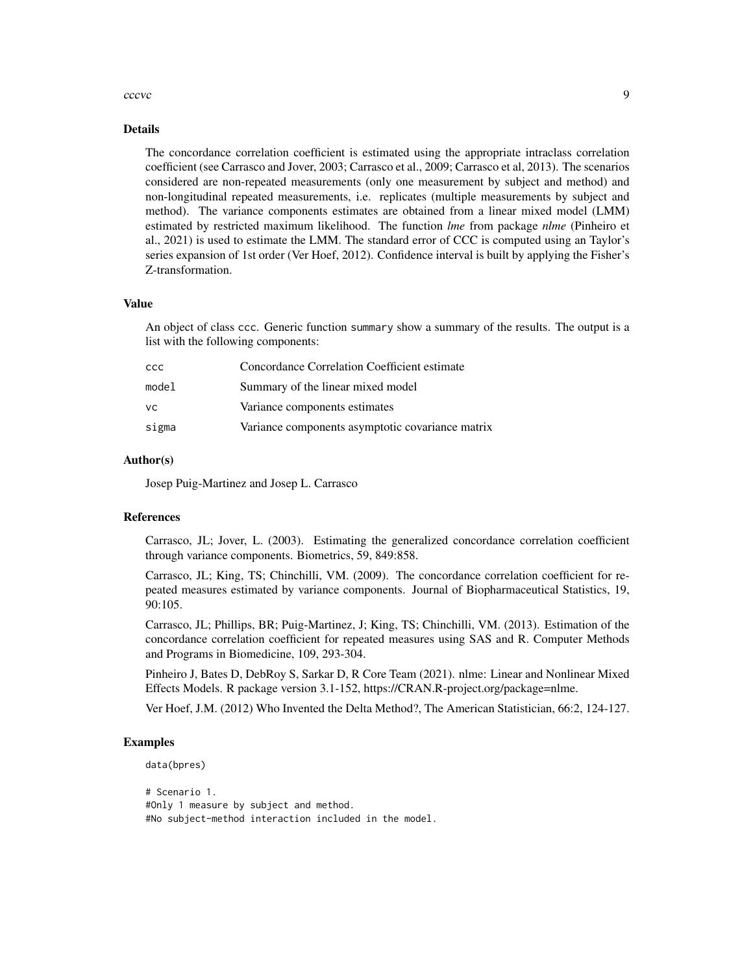#### cccvc **9**

#### Details

The concordance correlation coefficient is estimated using the appropriate intraclass correlation coefficient (see Carrasco and Jover, 2003; Carrasco et al., 2009; Carrasco et al, 2013). The scenarios considered are non-repeated measurements (only one measurement by subject and method) and non-longitudinal repeated measurements, i.e. replicates (multiple measurements by subject and method). The variance components estimates are obtained from a linear mixed model (LMM) estimated by restricted maximum likelihood. The function *lme* from package *nlme* (Pinheiro et al., 2021) is used to estimate the LMM. The standard error of CCC is computed using an Taylor's series expansion of 1st order (Ver Hoef, 2012). Confidence interval is built by applying the Fisher's Z-transformation.

#### Value

An object of class ccc. Generic function summary show a summary of the results. The output is a list with the following components:

| <b>CCC</b> | Concordance Correlation Coefficient estimate     |
|------------|--------------------------------------------------|
| model      | Summary of the linear mixed model                |
| <b>VC</b>  | Variance components estimates                    |
| sigma      | Variance components asymptotic covariance matrix |

#### Author(s)

Josep Puig-Martinez and Josep L. Carrasco

#### References

Carrasco, JL; Jover, L. (2003). Estimating the generalized concordance correlation coefficient through variance components. Biometrics, 59, 849:858.

Carrasco, JL; King, TS; Chinchilli, VM. (2009). The concordance correlation coefficient for repeated measures estimated by variance components. Journal of Biopharmaceutical Statistics, 19, 90:105.

Carrasco, JL; Phillips, BR; Puig-Martinez, J; King, TS; Chinchilli, VM. (2013). Estimation of the concordance correlation coefficient for repeated measures using SAS and R. Computer Methods and Programs in Biomedicine, 109, 293-304.

Pinheiro J, Bates D, DebRoy S, Sarkar D, R Core Team (2021). nlme: Linear and Nonlinear Mixed Effects Models. R package version 3.1-152, https://CRAN.R-project.org/package=nlme.

Ver Hoef, J.M. (2012) Who Invented the Delta Method?, The American Statistician, 66:2, 124-127.

#### Examples

```
data(bpres)
```

```
# Scenario 1.
#Only 1 measure by subject and method.
#No subject-method interaction included in the model.
```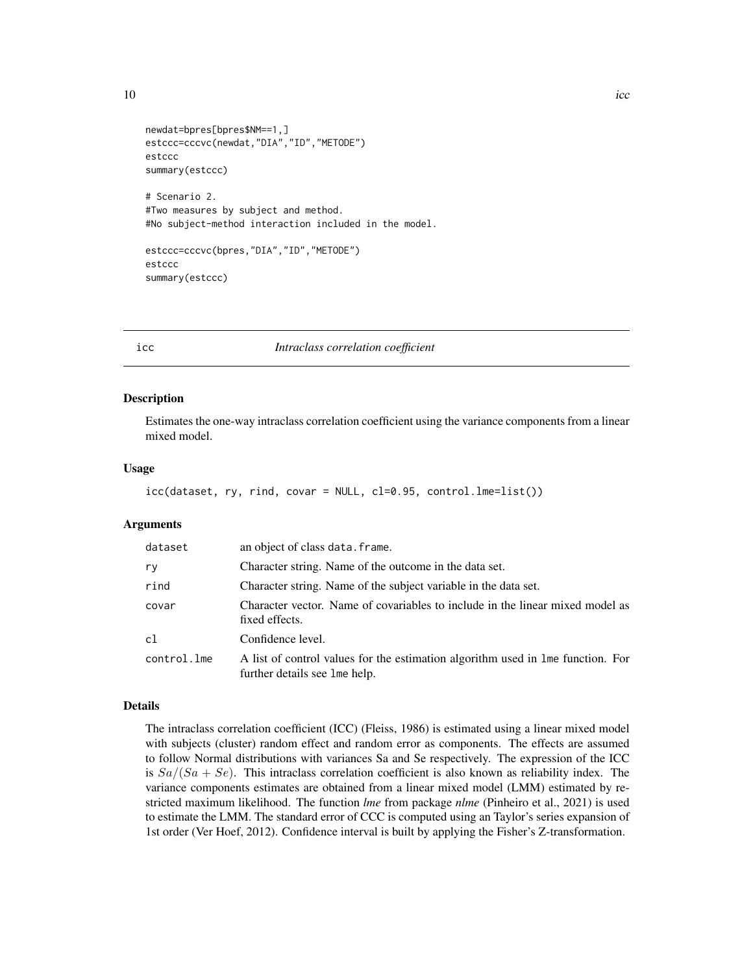<span id="page-9-0"></span>

```
newdat=bpres[bpres$NM==1,]
estccc=cccvc(newdat,"DIA","ID","METODE")
estccc
summary(estccc)
# Scenario 2.
#Two measures by subject and method.
#No subject-method interaction included in the model.
```

```
estccc=cccvc(bpres,"DIA","ID","METODE")
estccc
summary(estccc)
```
#### icc *Intraclass correlation coefficient*

#### Description

Estimates the one-way intraclass correlation coefficient using the variance components from a linear mixed model.

#### Usage

```
icc(dataset, ry, rind, covar = NULL, cl=0.95, control.lme=list())
```
#### Arguments

| dataset     | an object of class data. frame.                                                                                   |
|-------------|-------------------------------------------------------------------------------------------------------------------|
| ry          | Character string. Name of the outcome in the data set.                                                            |
| rind        | Character string. Name of the subject variable in the data set.                                                   |
| covar       | Character vector. Name of covariables to include in the linear mixed model as<br>fixed effects.                   |
| c1          | Confidence level.                                                                                                 |
| control.lme | A list of control values for the estimation algorithm used in line function. For<br>further details see lme help. |

#### Details

The intraclass correlation coefficient (ICC) (Fleiss, 1986) is estimated using a linear mixed model with subjects (cluster) random effect and random error as components. The effects are assumed to follow Normal distributions with variances Sa and Se respectively. The expression of the ICC is  $Sa/(Sa + Se)$ . This intraclass correlation coefficient is also known as reliability index. The variance components estimates are obtained from a linear mixed model (LMM) estimated by restricted maximum likelihood. The function *lme* from package *nlme* (Pinheiro et al., 2021) is used to estimate the LMM. The standard error of CCC is computed using an Taylor's series expansion of 1st order (Ver Hoef, 2012). Confidence interval is built by applying the Fisher's Z-transformation.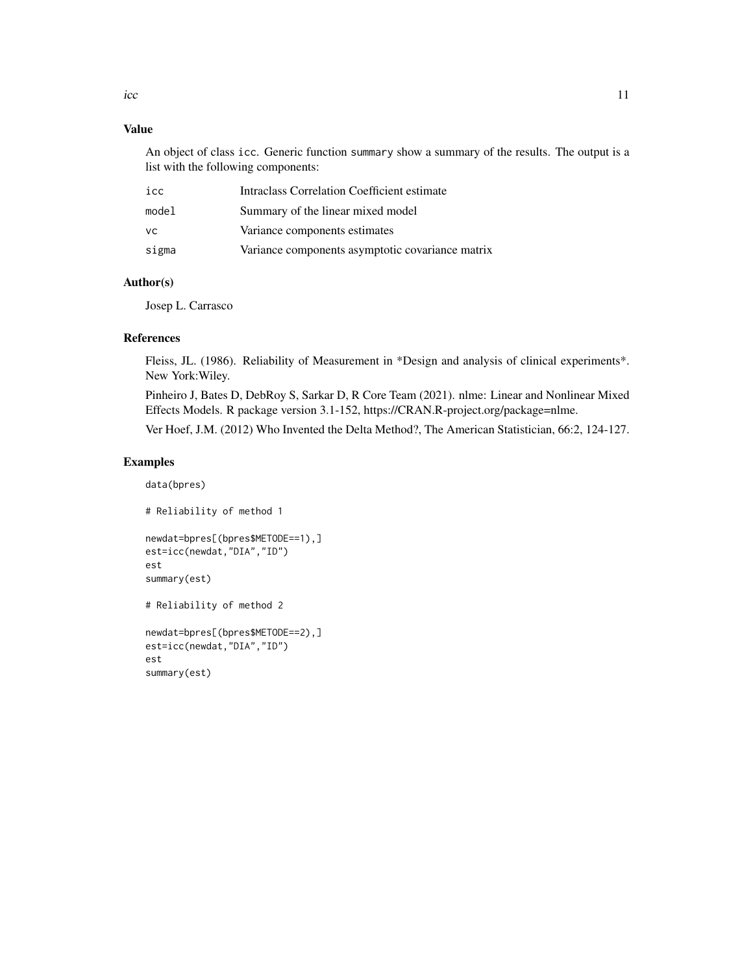#### Value

An object of class icc. Generic function summary show a summary of the results. The output is a list with the following components:

| icc   | Intraclass Correlation Coefficient estimate      |
|-------|--------------------------------------------------|
| model | Summary of the linear mixed model                |
| VC.   | Variance components estimates                    |
| sigma | Variance components asymptotic covariance matrix |

#### Author(s)

Josep L. Carrasco

#### References

Fleiss, JL. (1986). Reliability of Measurement in \*Design and analysis of clinical experiments\*. New York:Wiley.

Pinheiro J, Bates D, DebRoy S, Sarkar D, R Core Team (2021). nlme: Linear and Nonlinear Mixed Effects Models. R package version 3.1-152, https://CRAN.R-project.org/package=nlme.

Ver Hoef, J.M. (2012) Who Invented the Delta Method?, The American Statistician, 66:2, 124-127.

#### Examples

data(bpres)

# Reliability of method 1 newdat=bpres[(bpres\$METODE==1),] est=icc(newdat,"DIA","ID") est summary(est) # Reliability of method 2 newdat=bpres[(bpres\$METODE==2),] est=icc(newdat,"DIA","ID") est summary(est)